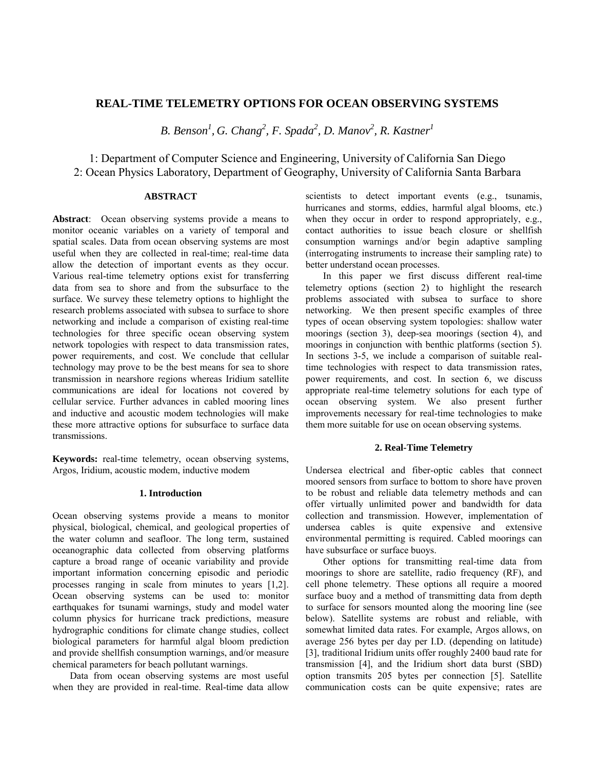# **REAL-TIME TELEMETRY OPTIONS FOR OCEAN OBSERVING SYSTEMS**

*B. Benson1 , G. Chang<sup>2</sup> , F. Spada2 , D. Manov2 , R. Kastner<sup>1</sup>*

1: Department of Computer Science and Engineering, University of California San Diego 2: Ocean Physics Laboratory, Department of Geography, University of California Santa Barbara

## **ABSTRACT**

**Abstract**: Ocean observing systems provide a means to monitor oceanic variables on a variety of temporal and spatial scales. Data from ocean observing systems are most useful when they are collected in real-time; real-time data allow the detection of important events as they occur. Various real-time telemetry options exist for transferring data from sea to shore and from the subsurface to the surface. We survey these telemetry options to highlight the research problems associated with subsea to surface to shore networking and include a comparison of existing real-time technologies for three specific ocean observing system network topologies with respect to data transmission rates, power requirements, and cost. We conclude that cellular technology may prove to be the best means for sea to shore transmission in nearshore regions whereas Iridium satellite communications are ideal for locations not covered by cellular service. Further advances in cabled mooring lines and inductive and acoustic modem technologies will make these more attractive options for subsurface to surface data transmissions.

**Keywords:** real-time telemetry, ocean observing systems, Argos, Iridium, acoustic modem, inductive modem

### **1. Introduction**

Ocean observing systems provide a means to monitor physical, biological, chemical, and geological properties of the water column and seafloor. The long term, sustained oceanographic data collected from observing platforms capture a broad range of oceanic variability and provide important information concerning episodic and periodic processes ranging in scale from minutes to years [1,2]. Ocean observing systems can be used to: monitor earthquakes for tsunami warnings, study and model water column physics for hurricane track predictions, measure hydrographic conditions for climate change studies, collect biological parameters for harmful algal bloom prediction and provide shellfish consumption warnings, and/or measure chemical parameters for beach pollutant warnings.

Data from ocean observing systems are most useful when they are provided in real-time. Real-time data allow

scientists to detect important events (e.g., tsunamis, hurricanes and storms, eddies, harmful algal blooms, etc.) when they occur in order to respond appropriately, e.g., contact authorities to issue beach closure or shellfish consumption warnings and/or begin adaptive sampling (interrogating instruments to increase their sampling rate) to better understand ocean processes.

In this paper we first discuss different real-time telemetry options (section 2) to highlight the research problems associated with subsea to surface to shore networking. We then present specific examples of three types of ocean observing system topologies: shallow water moorings (section 3), deep-sea moorings (section 4), and moorings in conjunction with benthic platforms (section 5). In sections 3-5, we include a comparison of suitable realtime technologies with respect to data transmission rates, power requirements, and cost. In section 6, we discuss appropriate real-time telemetry solutions for each type of ocean observing system. We also present further improvements necessary for real-time technologies to make them more suitable for use on ocean observing systems.

## **2. Real-Time Telemetry**

Undersea electrical and fiber-optic cables that connect moored sensors from surface to bottom to shore have proven to be robust and reliable data telemetry methods and can offer virtually unlimited power and bandwidth for data collection and transmission. However, implementation of undersea cables is quite expensive and extensive environmental permitting is required. Cabled moorings can have subsurface or surface buoys.

Other options for transmitting real-time data from moorings to shore are satellite, radio frequency (RF), and cell phone telemetry. These options all require a moored surface buoy and a method of transmitting data from depth to surface for sensors mounted along the mooring line (see below). Satellite systems are robust and reliable, with somewhat limited data rates. For example, Argos allows, on average 256 bytes per day per I.D. (depending on latitude) [3], traditional Iridium units offer roughly 2400 baud rate for transmission [4], and the Iridium short data burst (SBD) option transmits 205 bytes per connection [5]. Satellite communication costs can be quite expensive; rates are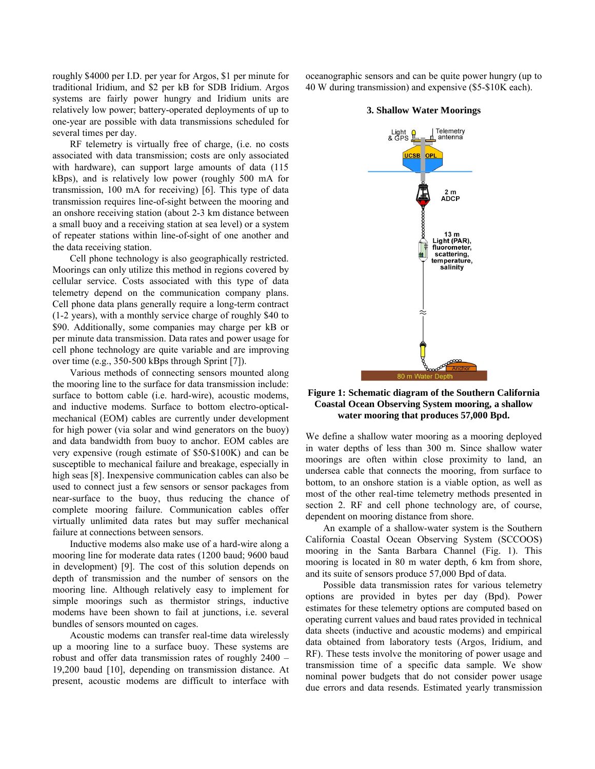roughly \$4000 per I.D. per year for Argos, \$1 per minute for traditional Iridium, and \$2 per kB for SDB Iridium. Argos systems are fairly power hungry and Iridium units are relatively low power; battery-operated deployments of up to one-year are possible with data transmissions scheduled for several times per day.

RF telemetry is virtually free of charge, (i.e. no costs associated with data transmission; costs are only associated with hardware), can support large amounts of data (115 kBps), and is relatively low power (roughly 500 mA for transmission, 100 mA for receiving) [6]. This type of data transmission requires line-of-sight between the mooring and an onshore receiving station (about 2-3 km distance between a small buoy and a receiving station at sea level) or a system of repeater stations within line-of-sight of one another and the data receiving station.

Cell phone technology is also geographically restricted. Moorings can only utilize this method in regions covered by cellular service. Costs associated with this type of data telemetry depend on the communication company plans. Cell phone data plans generally require a long-term contract (1-2 years), with a monthly service charge of roughly \$40 to \$90. Additionally, some companies may charge per kB or per minute data transmission. Data rates and power usage for cell phone technology are quite variable and are improving over time (e.g., 350-500 kBps through Sprint [7]).

Various methods of connecting sensors mounted along the mooring line to the surface for data transmission include: surface to bottom cable (i.e. hard-wire), acoustic modems, and inductive modems. Surface to bottom electro-opticalmechanical (EOM) cables are currently under development for high power (via solar and wind generators on the buoy) and data bandwidth from buoy to anchor. EOM cables are very expensive (rough estimate of \$50-\$100K) and can be susceptible to mechanical failure and breakage, especially in high seas [8]. Inexpensive communication cables can also be used to connect just a few sensors or sensor packages from near-surface to the buoy, thus reducing the chance of complete mooring failure. Communication cables offer virtually unlimited data rates but may suffer mechanical failure at connections between sensors.

Inductive modems also make use of a hard-wire along a mooring line for moderate data rates (1200 baud; 9600 baud in development) [9]. The cost of this solution depends on depth of transmission and the number of sensors on the mooring line. Although relatively easy to implement for simple moorings such as thermistor strings, inductive modems have been shown to fail at junctions, i.e. several bundles of sensors mounted on cages.

Acoustic modems can transfer real-time data wirelessly up a mooring line to a surface buoy. These systems are robust and offer data transmission rates of roughly 2400 – 19,200 baud [10], depending on transmission distance. At present, acoustic modems are difficult to interface with oceanographic sensors and can be quite power hungry (up to 40 W during transmission) and expensive (\$5-\$10K each).



fluorometer, scattering, temperature,<br>salinity

### **3. Shallow Water Moorings**

80 m Water De **Figure 1: Schematic diagram of the Southern California Coastal Ocean Observing System mooring, a shallow water mooring that produces 57,000 Bpd.** 

We define a shallow water mooring as a mooring deployed in water depths of less than 300 m. Since shallow water moorings are often within close proximity to land, an undersea cable that connects the mooring, from surface to bottom, to an onshore station is a viable option, as well as most of the other real-time telemetry methods presented in section 2. RF and cell phone technology are, of course, dependent on mooring distance from shore.

An example of a shallow-water system is the Southern California Coastal Ocean Observing System (SCCOOS) mooring in the Santa Barbara Channel (Fig. 1). This mooring is located in 80 m water depth, 6 km from shore, and its suite of sensors produce 57,000 Bpd of data.

Possible data transmission rates for various telemetry options are provided in bytes per day (Bpd). Power estimates for these telemetry options are computed based on operating current values and baud rates provided in technical data sheets (inductive and acoustic modems) and empirical data obtained from laboratory tests (Argos, Iridium, and RF). These tests involve the monitoring of power usage and transmission time of a specific data sample. We show nominal power budgets that do not consider power usage due errors and data resends. Estimated yearly transmission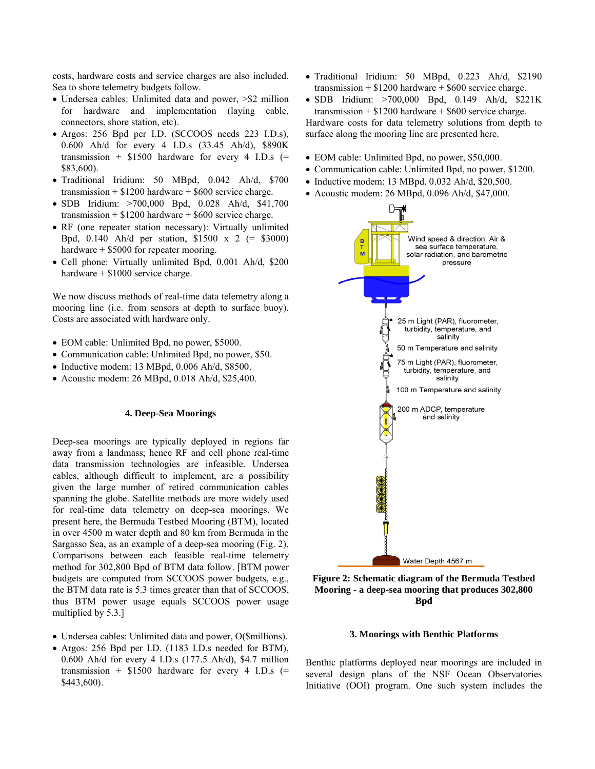costs, hardware costs and service charges are also included. Sea to shore telemetry budgets follow.

- Undersea cables: Unlimited data and power,  $> $2$  million for hardware and implementation (laying cable, connectors, shore station, etc).
- Argos: 256 Bpd per I.D. (SCCOOS needs 223 I.D.s), 0.600 Ah/d for every 4 I.D.s (33.45 Ah/d), \$890K transmission +  $$1500$  hardware for every 4 I.D.s (= \$83,600).
- Traditional Iridium: 50 MBpd, 0.042 Ah/d, \$700 transmission  $+$  \$1200 hardware  $+$  \$600 service charge.
- SDB Iridium: >700,000 Bpd, 0.028 Ah/d, \$41,700 transmission  $+$  \$1200 hardware  $+$  \$600 service charge.
- RF (one repeater station necessary): Virtually unlimited Bpd, 0.140 Ah/d per station, \$1500 x 2 (= \$3000) hardware + \$5000 for repeater mooring.
- Cell phone: Virtually unlimited Bpd, 0.001 Ah/d, \$200 hardware +  $$1000$  service charge.

We now discuss methods of real-time data telemetry along a mooring line (i.e. from sensors at depth to surface buoy). Costs are associated with hardware only.

- EOM cable: Unlimited Bpd, no power, \$5000.
- Communication cable: Unlimited Bpd, no power, \$50.
- $\bullet$  Inductive modem: 13 MBpd, 0.006 Ah/d, \$8500.
- Acoustic modem: 26 MBpd, 0.018 Ah/d, \$25,400.

### **4. Deep-Sea Moorings**

Deep-sea moorings are typically deployed in regions far away from a landmass; hence RF and cell phone real-time data transmission technologies are infeasible. Undersea cables, although difficult to implement, are a possibility given the large number of retired communication cables spanning the globe. Satellite methods are more widely used for real-time data telemetry on deep-sea moorings. We present here, the Bermuda Testbed Mooring (BTM), located in over 4500 m water depth and 80 km from Bermuda in the Sargasso Sea, as an example of a deep-sea mooring (Fig. 2). Comparisons between each feasible real-time telemetry method for 302,800 Bpd of BTM data follow. [BTM power budgets are computed from SCCOOS power budgets, e.g., the BTM data rate is 5.3 times greater than that of SCCOOS, thus BTM power usage equals SCCOOS power usage multiplied by 5.3.]

- Undersea cables: Unlimited data and power, O(\$millions).
- Argos: 256 Bpd per I.D. (1183 I.D.s needed for BTM), 0.600 Ah/d for every 4 I.D.s (177.5 Ah/d), \$4.7 million transmission +  $$1500$  hardware for every 4 I.D.s (= \$443,600).
- Traditional Iridium: 50 MBpd, 0.223 Ah/d, \$2190 transmission  $+$  \$1200 hardware  $+$  \$600 service charge.
- SDB Iridium: >700,000 Bpd, 0.149 Ah/d, \$221K transmission  $+$  \$1200 hardware  $+$  \$600 service charge.

Hardware costs for data telemetry solutions from depth to surface along the mooring line are presented here.

- EOM cable: Unlimited Bpd, no power, \$50,000.
- Communication cable: Unlimited Bpd, no power, \$1200.
- $\bullet$  Inductive modem: 13 MBpd, 0.032 Ah/d, \$20,500.
- Acoustic modem: 26 MBpd, 0.096 Ah/d, \$47,000.





**3. Moorings with Benthic Platforms**

Benthic platforms deployed near moorings are included in several design plans of the NSF Ocean Observatories Initiative (OOI) program. One such system includes the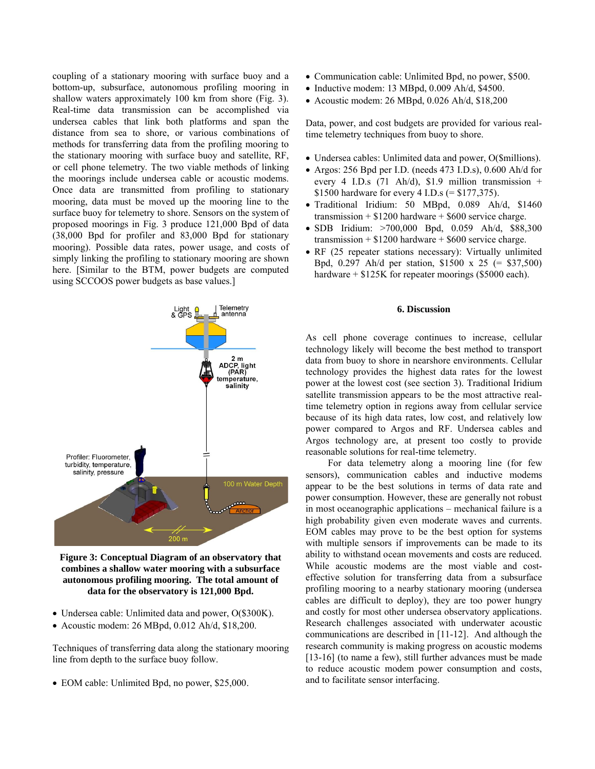coupling of a stationary mooring with surface buoy and a bottom-up, subsurface, autonomous profiling mooring in shallow waters approximately 100 km from shore (Fig. 3). Real-time data transmission can be accomplished via undersea cables that link both platforms and span the distance from sea to shore, or various combinations of methods for transferring data from the profiling mooring to the stationary mooring with surface buoy and satellite, RF, or cell phone telemetry. The two viable methods of linking the moorings include undersea cable or acoustic modems. Once data are transmitted from profiling to stationary mooring, data must be moved up the mooring line to the surface buoy for telemetry to shore. Sensors on the system of proposed moorings in Fig. 3 produce 121,000 Bpd of data (38,000 Bpd for profiler and 83,000 Bpd for stationary mooring). Possible data rates, power usage, and costs of simply linking the profiling to stationary mooring are shown here. [Similar to the BTM, power budgets are computed using SCCOOS power budgets as base values.]



**Figure 3: Conceptual Diagram of an observatory that combines a shallow water mooring with a subsurface autonomous profiling mooring. The total amount of data for the observatory is 121,000 Bpd.**

- Undersea cable: Unlimited data and power, O(\$300K).
- Acoustic modem: 26 MBpd, 0.012 Ah/d, \$18,200.

Techniques of transferring data along the stationary mooring line from depth to the surface buoy follow.

EOM cable: Unlimited Bpd, no power, \$25,000.

- Communication cable: Unlimited Bpd, no power, \$500.
- $\bullet$  Inductive modem: 13 MBpd, 0.009 Ah/d, \$4500.
- Acoustic modem: 26 MBpd, 0.026 Ah/d, \$18,200

Data, power, and cost budgets are provided for various realtime telemetry techniques from buoy to shore.

- Undersea cables: Unlimited data and power, O(\$millions).
- Argos: 256 Bpd per I.D. (needs 473 I.D.s), 0.600 Ah/d for every 4 I.D.s  $(71 \text{ Ah/d})$ , \$1.9 million transmission + \$1500 hardware for every 4 I.D.s (= \$177,375).
- Traditional Iridium: 50 MBpd, 0.089 Ah/d, \$1460 transmission  $+$  \$1200 hardware  $+$  \$600 service charge.
- SDB Iridium: >700,000 Bpd, 0.059 Ah/d, \$88,300 transmission  $+$  \$1200 hardware  $+$  \$600 service charge.
- RF (25 repeater stations necessary): Virtually unlimited Bpd, 0.297 Ah/d per station, \$1500 x 25 (= \$37,500) hardware  $+ $125K$  for repeater moorings (\$5000 each).

## **6. Discussion**

As cell phone coverage continues to increase, cellular technology likely will become the best method to transport data from buoy to shore in nearshore environments. Cellular technology provides the highest data rates for the lowest power at the lowest cost (see section 3). Traditional Iridium satellite transmission appears to be the most attractive realtime telemetry option in regions away from cellular service because of its high data rates, low cost, and relatively low power compared to Argos and RF. Undersea cables and Argos technology are, at present too costly to provide reasonable solutions for real-time telemetry.

 For data telemetry along a mooring line (for few sensors), communication cables and inductive modems appear to be the best solutions in terms of data rate and power consumption. However, these are generally not robust in most oceanographic applications – mechanical failure is a high probability given even moderate waves and currents. EOM cables may prove to be the best option for systems with multiple sensors if improvements can be made to its ability to withstand ocean movements and costs are reduced. While acoustic modems are the most viable and costeffective solution for transferring data from a subsurface profiling mooring to a nearby stationary mooring (undersea cables are difficult to deploy), they are too power hungry and costly for most other undersea observatory applications. Research challenges associated with underwater acoustic communications are described in [11-12]. And although the research community is making progress on acoustic modems [13-16] (to name a few), still further advances must be made to reduce acoustic modem power consumption and costs, and to facilitate sensor interfacing.